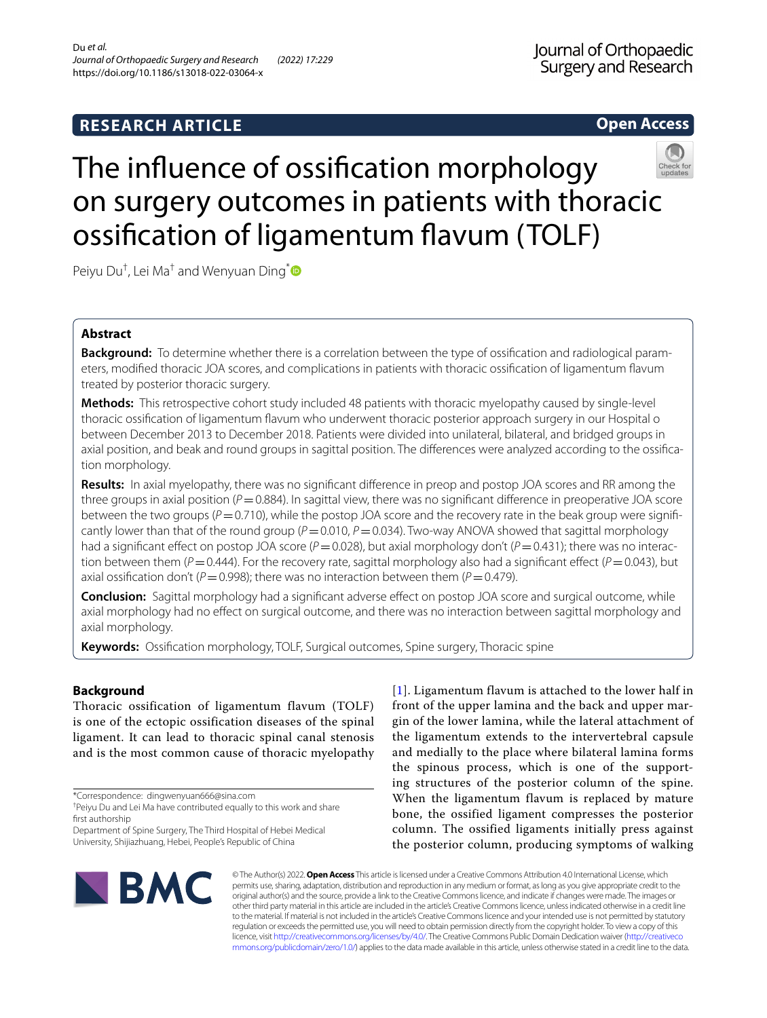# **Open Access**



# The infuence of ossifcation morphology on surgery outcomes in patients with thoracic ossifcation of ligamentum favum (TOLF)

Peiyu Du<sup>†</sup>, Lei Ma<sup>†</sup> and Wenyuan Ding<sup>[\\*](http://orcid.org/0000-0002-1150-6264)</sup>

# **Abstract**

**Background:** To determine whether there is a correlation between the type of ossifcation and radiological parameters, modifed thoracic JOA scores, and complications in patients with thoracic ossifcation of ligamentum favum treated by posterior thoracic surgery.

**Methods:** This retrospective cohort study included 48 patients with thoracic myelopathy caused by single-level thoracic ossifcation of ligamentum favum who underwent thoracic posterior approach surgery in our Hospital o between December 2013 to December 2018. Patients were divided into unilateral, bilateral, and bridged groups in axial position, and beak and round groups in sagittal position. The diferences were analyzed according to the ossifcation morphology.

**Results:** In axial myelopathy, there was no signifcant diference in preop and postop JOA scores and RR among the three groups in axial position  $(P=0.884)$ . In sagittal view, there was no significant difference in preoperative JOA score between the two groups ( $P=0.710$ ), while the postop JOA score and the recovery rate in the beak group were significantly lower than that of the round group (*P*=0.010, *P*=0.034). Two-way ANOVA showed that sagittal morphology had a significant effect on postop JOA score ( $P=0.028$ ), but axial morphology don't ( $P=0.431$ ); there was no interaction between them ( $P=0.444$ ). For the recovery rate, sagittal morphology also had a significant effect ( $P=0.043$ ), but axial ossification don't ( $P = 0.998$ ); there was no interaction between them ( $P = 0.479$ ).

**Conclusion:** Sagittal morphology had a signifcant adverse efect on postop JOA score and surgical outcome, while axial morphology had no efect on surgical outcome, and there was no interaction between sagittal morphology and axial morphology.

**Keywords:** Ossifcation morphology, TOLF, Surgical outcomes, Spine surgery, Thoracic spine

# **Background**

Thoracic ossification of ligamentum flavum (TOLF) is one of the ectopic ossification diseases of the spinal ligament. It can lead to thoracic spinal canal stenosis and is the most common cause of thoracic myelopathy

Department of Spine Surgery, The Third Hospital of Hebei Medical University, Shijiazhuang, Hebei, People's Republic of China

[[1](#page-7-0)]. Ligamentum flavum is attached to the lower half in front of the upper lamina and the back and upper margin of the lower lamina, while the lateral attachment of the ligamentum extends to the intervertebral capsule and medially to the place where bilateral lamina forms the spinous process, which is one of the supporting structures of the posterior column of the spine. When the ligamentum flavum is replaced by mature bone, the ossified ligament compresses the posterior column. The ossified ligaments initially press against the posterior column, producing symptoms of walking



© The Author(s) 2022. **Open Access** This article is licensed under a Creative Commons Attribution 4.0 International License, which permits use, sharing, adaptation, distribution and reproduction in any medium or format, as long as you give appropriate credit to the original author(s) and the source, provide a link to the Creative Commons licence, and indicate if changes were made. The images or other third party material in this article are included in the article's Creative Commons licence, unless indicated otherwise in a credit line to the material. If material is not included in the article's Creative Commons licence and your intended use is not permitted by statutory regulation or exceeds the permitted use, you will need to obtain permission directly from the copyright holder. To view a copy of this licence, visit [http://creativecommons.org/licenses/by/4.0/.](http://creativecommons.org/licenses/by/4.0/) The Creative Commons Public Domain Dedication waiver ([http://creativeco](http://creativecommons.org/publicdomain/zero/1.0/) [mmons.org/publicdomain/zero/1.0/](http://creativecommons.org/publicdomain/zero/1.0/)) applies to the data made available in this article, unless otherwise stated in a credit line to the data.

<sup>\*</sup>Correspondence: dingwenyuan666@sina.com

<sup>†</sup> Peiyu Du and Lei Ma have contributed equally to this work and share first authorship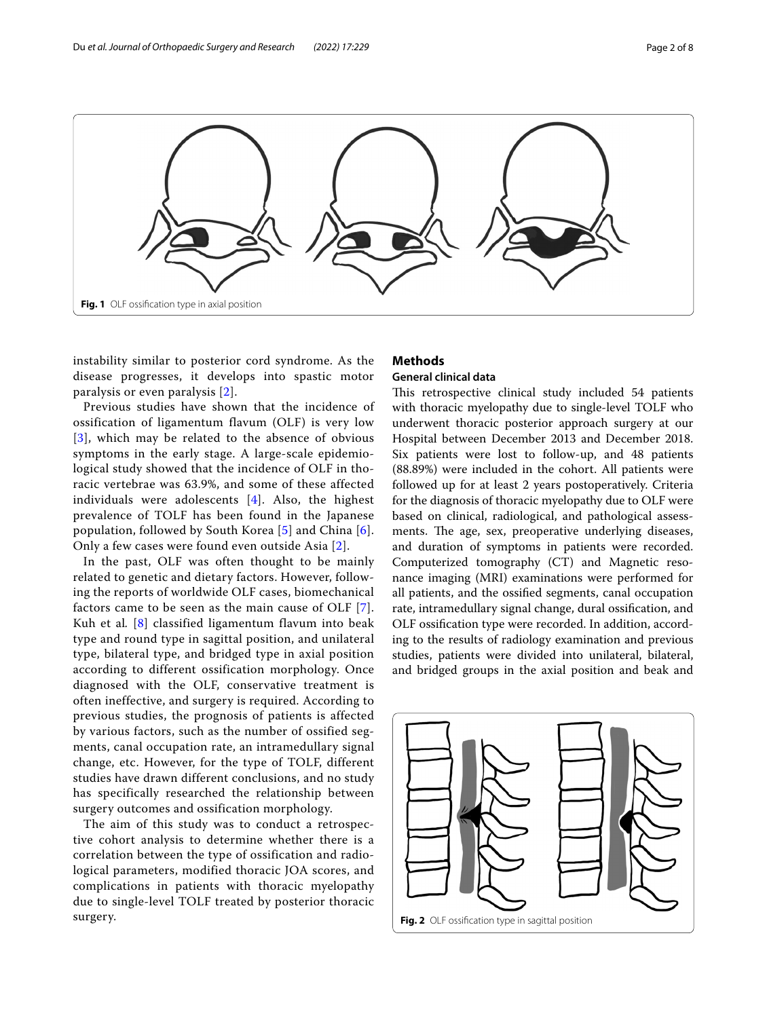

<span id="page-1-0"></span>instability similar to posterior cord syndrome. As the disease progresses, it develops into spastic motor paralysis or even paralysis [[2\]](#page-7-1).

Previous studies have shown that the incidence of ossification of ligamentum flavum (OLF) is very low [[3](#page-7-2)], which may be related to the absence of obvious symptoms in the early stage. A large-scale epidemiological study showed that the incidence of OLF in thoracic vertebrae was 63.9%, and some of these affected individuals were adolescents [[4](#page-7-3)]. Also, the highest prevalence of TOLF has been found in the Japanese population, followed by South Korea  $[5]$  $[5]$  and China  $[6]$  $[6]$ . Only a few cases were found even outside Asia [[2](#page-7-1)].

In the past, OLF was often thought to be mainly related to genetic and dietary factors. However, following the reports of worldwide OLF cases, biomechanical factors came to be seen as the main cause of OLF [[7\]](#page-7-6). Kuh et al. [[8\]](#page-7-7) classified ligamentum flavum into beak type and round type in sagittal position, and unilateral type, bilateral type, and bridged type in axial position according to different ossification morphology. Once diagnosed with the OLF, conservative treatment is often ineffective, and surgery is required. According to previous studies, the prognosis of patients is affected by various factors, such as the number of ossified segments, canal occupation rate, an intramedullary signal change, etc. However, for the type of TOLF, different studies have drawn different conclusions, and no study has specifically researched the relationship between surgery outcomes and ossification morphology.

The aim of this study was to conduct a retrospective cohort analysis to determine whether there is a correlation between the type of ossification and radiological parameters, modified thoracic JOA scores, and complications in patients with thoracic myelopathy due to single-level TOLF treated by posterior thoracic surgery.

# **Methods**

# **General clinical data**

This retrospective clinical study included 54 patients with thoracic myelopathy due to single-level TOLF who underwent thoracic posterior approach surgery at our Hospital between December 2013 and December 2018. Six patients were lost to follow-up, and 48 patients (88.89%) were included in the cohort. All patients were followed up for at least 2 years postoperatively. Criteria for the diagnosis of thoracic myelopathy due to OLF were based on clinical, radiological, and pathological assessments. The age, sex, preoperative underlying diseases, and duration of symptoms in patients were recorded. Computerized tomography (CT) and Magnetic resonance imaging (MRI) examinations were performed for all patients, and the ossifed segments, canal occupation rate, intramedullary signal change, dural ossifcation, and OLF ossifcation type were recorded. In addition, according to the results of radiology examination and previous studies, patients were divided into unilateral, bilateral, and bridged groups in the axial position and beak and

<span id="page-1-1"></span>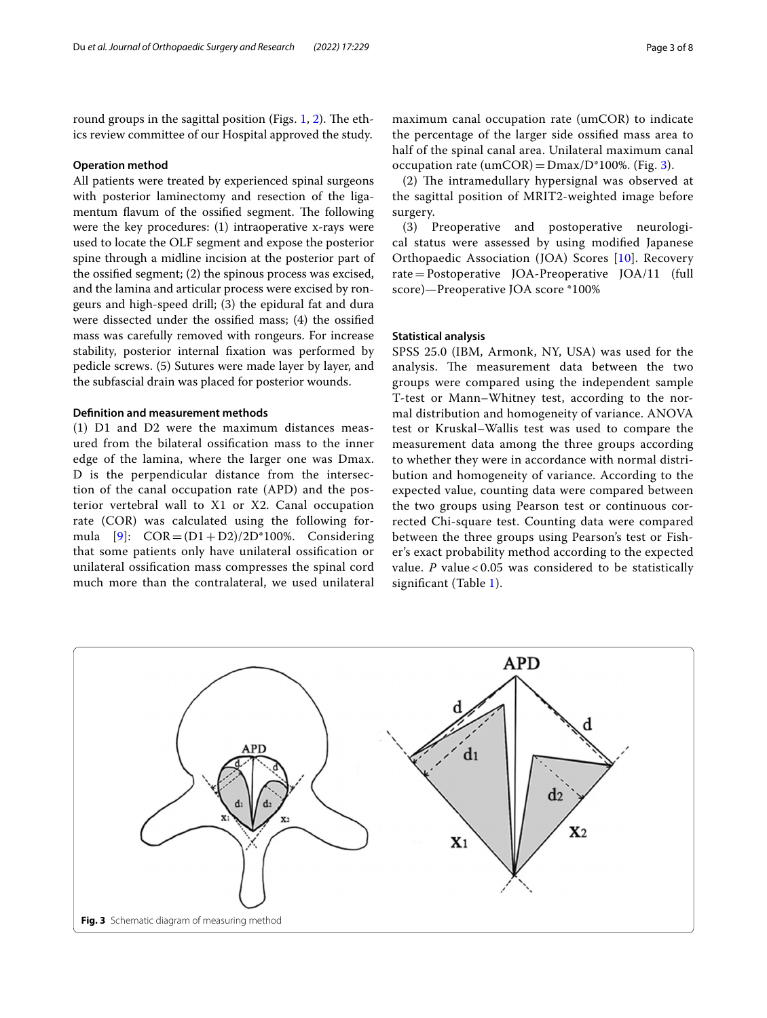round groups in the sagittal position (Figs.  $1, 2$ ). The ethics review committee of our Hospital approved the study.

# **Operation method**

All patients were treated by experienced spinal surgeons with posterior laminectomy and resection of the ligamentum flavum of the ossified segment. The following were the key procedures: (1) intraoperative x-rays were used to locate the OLF segment and expose the posterior spine through a midline incision at the posterior part of the ossifed segment; (2) the spinous process was excised, and the lamina and articular process were excised by rongeurs and high-speed drill; (3) the epidural fat and dura were dissected under the ossifed mass; (4) the ossifed mass was carefully removed with rongeurs. For increase stability, posterior internal fxation was performed by pedicle screws. (5) Sutures were made layer by layer, and the subfascial drain was placed for posterior wounds.

# **Defnition and measurement methods**

(1) D1 and D2 were the maximum distances measured from the bilateral ossifcation mass to the inner edge of the lamina, where the larger one was Dmax. D is the perpendicular distance from the intersection of the canal occupation rate (APD) and the posterior vertebral wall to X1 or X2. Canal occupation rate (COR) was calculated using the following formula  $[9]$  $[9]$ :  $COR = (D1 + D2)/2D^*100\%$ . Considering that some patients only have unilateral ossifcation or unilateral ossifcation mass compresses the spinal cord much more than the contralateral, we used unilateral

maximum canal occupation rate (umCOR) to indicate the percentage of the larger side ossifed mass area to half of the spinal canal area. Unilateral maximum canal occupation rate (umCOR) =  $Dmax/D^*100\%$ . (Fig. [3](#page-2-0)).

(2) The intramedullary hypersignal was observed at the sagittal position of MRIT2-weighted image before surgery.

(3) Preoperative and postoperative neurological status were assessed by using modifed Japanese Orthopaedic Association (JOA) Scores [[10](#page-7-9)]. Recovery rate=Postoperative JOA-Preoperative JOA/11 (full score)—Preoperative JOA score \*100%

# **Statistical analysis**

SPSS 25.0 (IBM, Armonk, NY, USA) was used for the analysis. The measurement data between the two groups were compared using the independent sample T-test or Mann–Whitney test, according to the normal distribution and homogeneity of variance. ANOVA test or Kruskal–Wallis test was used to compare the measurement data among the three groups according to whether they were in accordance with normal distribution and homogeneity of variance. According to the expected value, counting data were compared between the two groups using Pearson test or continuous corrected Chi-square test. Counting data were compared between the three groups using Pearson's test or Fisher's exact probability method according to the expected value.  $P$  value < 0.05 was considered to be statistically signifcant (Table [1\)](#page-3-0).

<span id="page-2-0"></span>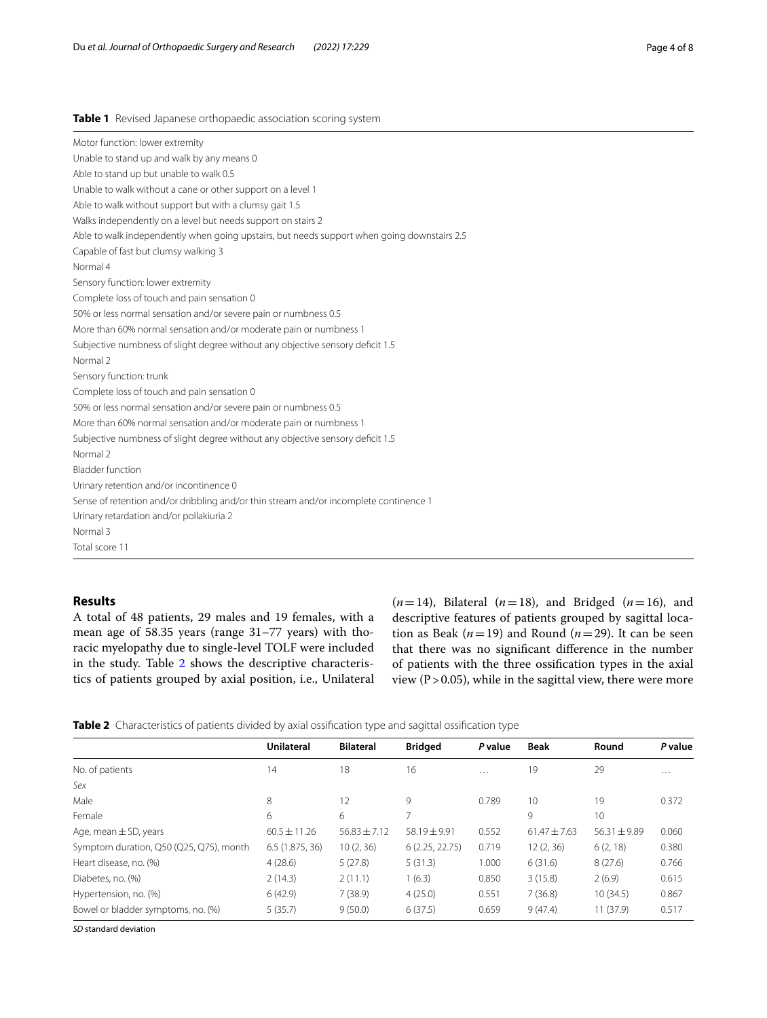# <span id="page-3-0"></span>**Table 1** Revised Japanese orthopaedic association scoring system

| Motor function: lower extremity                                                             |
|---------------------------------------------------------------------------------------------|
| Unable to stand up and walk by any means 0                                                  |
| Able to stand up but unable to walk 0.5                                                     |
| Unable to walk without a cane or other support on a level 1                                 |
| Able to walk without support but with a clumsy gait 1.5                                     |
| Walks independently on a level but needs support on stairs 2                                |
| Able to walk independently when going upstairs, but needs support when going downstairs 2.5 |
| Capable of fast but clumsy walking 3                                                        |
| Normal 4                                                                                    |
| Sensory function: lower extremity                                                           |
| Complete loss of touch and pain sensation 0                                                 |
| 50% or less normal sensation and/or severe pain or numbness 0.5                             |
| More than 60% normal sensation and/or moderate pain or numbness 1                           |
| Subjective numbness of slight degree without any objective sensory deficit 1.5              |
| Normal 2                                                                                    |
| Sensory function: trunk                                                                     |
| Complete loss of touch and pain sensation 0                                                 |
| 50% or less normal sensation and/or severe pain or numbness 0.5                             |
| More than 60% normal sensation and/or moderate pain or numbness 1                           |
| Subjective numbness of slight degree without any objective sensory deficit 1.5              |
| Normal 2                                                                                    |
| <b>Bladder function</b>                                                                     |
| Urinary retention and/or incontinence 0                                                     |
| Sense of retention and/or dribbling and/or thin stream and/or incomplete continence 1       |
| Urinary retardation and/or pollakiuria 2                                                    |
| Normal 3                                                                                    |
| Total score 11                                                                              |

# **Results**

A total of 48 patients, 29 males and 19 females, with a mean age of 58.35 years (range 31–77 years) with thoracic myelopathy due to single-level TOLF were included in the study. Table [2](#page-3-1) shows the descriptive characteristics of patients grouped by axial position, i.e., Unilateral  $(n=14)$ , Bilateral  $(n=18)$ , and Bridged  $(n=16)$ , and descriptive features of patients grouped by sagittal location as Beak ( $n=19$ ) and Round ( $n=29$ ). It can be seen that there was no signifcant diference in the number of patients with the three ossifcation types in the axial view ( $P > 0.05$ ), while in the sagittal view, there were more

<span id="page-3-1"></span>

|  |  | Table 2 Characteristics of patients divided by axial ossification type and sagittal ossification type |  |  |  |  |
|--|--|-------------------------------------------------------------------------------------------------------|--|--|--|--|
|--|--|-------------------------------------------------------------------------------------------------------|--|--|--|--|

|                                         | <b>Unilateral</b> | <b>Bilateral</b> | <b>Bridged</b>           | P value  | <b>Beak</b>      | Round            | P value  |
|-----------------------------------------|-------------------|------------------|--------------------------|----------|------------------|------------------|----------|
| No. of patients                         | 14                | 18               | 16                       | $\cdots$ | 19               | 29               | $\cdots$ |
| Sex                                     |                   |                  |                          |          |                  |                  |          |
| Male                                    | 8                 | 12               | 9                        | 0.789    | 10               | 19               | 0.372    |
| Female                                  | 6                 | 6                | $\overline{\phantom{1}}$ |          | 9                | 10               |          |
| Age, mean $\pm$ SD, years               | $60.5 \pm 11.26$  | $56.83 \pm 7.12$ | $58.19 + 9.91$           | 0.552    | $61.47 \pm 7.63$ | $56.31 \pm 9.89$ | 0.060    |
| Symptom duration, Q50 (Q25, Q75), month | 6.5(1.875, 36)    | 10(2, 36)        | 6(2.25, 22.75)           | 0.719    | 12(2, 36)        | 6(2, 18)         | 0.380    |
| Heart disease, no. (%)                  | 4(28.6)           | 5(27.8)          | 5(31.3)                  | 1.000    | 6(31.6)          | 8(27.6)          | 0.766    |
| Diabetes, no. (%)                       | 2(14.3)           | 2(11.1)          | 1(6.3)                   | 0.850    | 3(15.8)          | 2(6.9)           | 0.615    |
| Hypertension, no. (%)                   | 6(42.9)           | 7(38.9)          | 4(25.0)                  | 0.551    | 7(36.8)          | 10(34.5)         | 0.867    |
| Bowel or bladder symptoms, no. (%)      | 5(35.7)           | 9(50.0)          | 6(37.5)                  | 0.659    | 9(47.4)          | 11(37.9)         | 0.517    |

*SD* standard deviation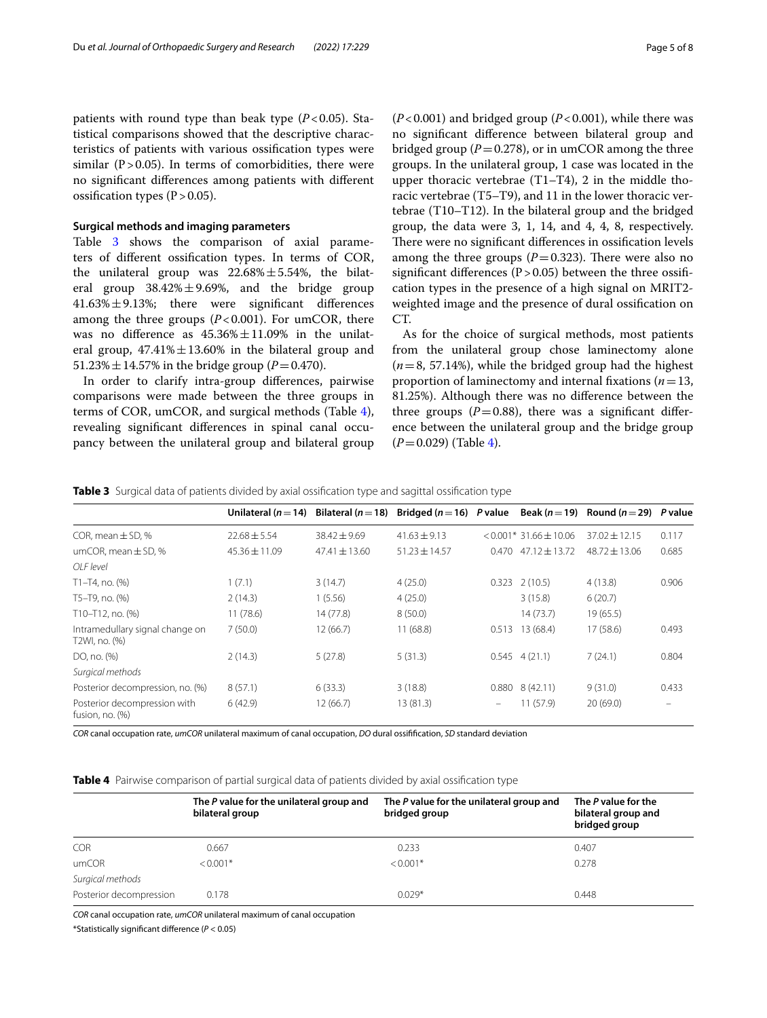patients with round type than beak type  $(P<0.05)$ . Statistical comparisons showed that the descriptive characteristics of patients with various ossifcation types were similar  $(P > 0.05)$ . In terms of comorbidities, there were no signifcant diferences among patients with diferent ossification types  $(P>0.05)$ .

#### **Surgical methods and imaging parameters**

Table [3](#page-4-0) shows the comparison of axial parameters of diferent ossifcation types. In terms of COR, the unilateral group was  $22.68\% \pm 5.54\%$ , the bilateral group  $38.42\% \pm 9.69\%$ , and the bridge group 41.63%±9.13%; there were signifcant diferences among the three groups  $(P<0.001)$ . For umCOR, there was no difference as  $45.36\% \pm 11.09\%$  in the unilateral group,  $47.41\% \pm 13.60\%$  in the bilateral group and 51.23%  $\pm$  14.57% in the bridge group (*P* = 0.470).

In order to clarify intra-group diferences, pairwise comparisons were made between the three groups in terms of COR, umCOR, and surgical methods (Table [4](#page-4-1)), revealing signifcant diferences in spinal canal occupancy between the unilateral group and bilateral group (*P*<0.001) and bridged group (*P*<0.001), while there was no signifcant diference between bilateral group and bridged group ( $P=0.278$ ), or in umCOR among the three groups. In the unilateral group, 1 case was located in the upper thoracic vertebrae (T1–T4), 2 in the middle thoracic vertebrae (T5–T9), and 11 in the lower thoracic vertebrae (T10–T12). In the bilateral group and the bridged group, the data were 3, 1, 14, and 4, 4, 8, respectively. There were no significant differences in ossification levels among the three groups  $(P=0.323)$ . There were also no significant differences ( $P > 0.05$ ) between the three ossification types in the presence of a high signal on MRIT2 weighted image and the presence of dural ossifcation on CT.

As for the choice of surgical methods, most patients from the unilateral group chose laminectomy alone (*n*=8, 57.14%), while the bridged group had the highest proportion of laminectomy and internal fxations (*n*=13, 81.25%). Although there was no diference between the three groups  $(P=0.88)$ , there was a significant difference between the unilateral group and the bridge group (*P*=0.029) (Table [4\)](#page-4-1).

<span id="page-4-0"></span>

|  |  |  | Table 3 Surgical data of patients divided by axial ossification type and sagittal ossification type |  |  |
|--|--|--|-----------------------------------------------------------------------------------------------------|--|--|
|  |  |  |                                                                                                     |  |  |

|                                                  | Unilateral ( $n=14$ ) Bilateral ( $n=18$ ) Bridged ( $n=16$ ) P value |                   |                   |          |                           | Beak ( $n = 19$ ) Round ( $n = 29$ ) | P value           |
|--------------------------------------------------|-----------------------------------------------------------------------|-------------------|-------------------|----------|---------------------------|--------------------------------------|-------------------|
| COR, mean $\pm$ SD, %                            | $72.68 + 5.54$                                                        | $38.42 + 9.69$    | $41.63 + 9.13$    |          | $< 0.001*31.66 \pm 10.06$ | $37.02 \pm 12.15$                    | 0.117             |
| umCOR, mean $\pm$ SD, %                          | $45.36 \pm 11.09$                                                     | $47.41 \pm 13.60$ | $51.23 \pm 14.57$ | 0.470    | $47.12 \pm 13.72$         | $48.72 \pm 13.06$                    | 0.685             |
| OI F level                                       |                                                                       |                   |                   |          |                           |                                      |                   |
| $T1 - T4$ , no. $(%)$                            | 1(7.1)                                                                | 3(14.7)           | 4(25.0)           | 0.323    | 2(10.5)                   | 4(13.8)                              | 0.906             |
| T5-T9, no. (%)                                   | 2(14.3)                                                               | 1(5.56)           | 4(25.0)           |          | 3(15.8)                   | 6(20.7)                              |                   |
| T10-T12, no. (%)                                 | 11(78.6)                                                              | 14(77.8)          | 8(50.0)           |          | 14(73.7)                  | 19(65.5)                             |                   |
| Intramedullary signal change on<br>T2WI, no. (%) | 7(50.0)                                                               | 12(66.7)          | 11(68.8)          | 0.513    | 13 (68.4)                 | 17 (58.6)                            | 0.493             |
| DO, no. (%)                                      | 2(14.3)                                                               | 5(27.8)           | 5(31.3)           | 0.545    | 4(21.1)                   | 7(24.1)                              | 0.804             |
| Surgical methods                                 |                                                                       |                   |                   |          |                           |                                      |                   |
| Posterior decompression, no. (%)                 | 8(57.1)                                                               | 6(33.3)           | 3(18.8)           | 0.880    | 8(42.11)                  | 9(31.0)                              | 0.433             |
| Posterior decompression with<br>fusion, no. (%)  | 6(42.9)                                                               | 12(66.7)          | 13(81.3)          | $\equiv$ | 11 (57.9)                 | 20(69.0)                             | $\qquad \qquad =$ |

*COR* canal occupation rate, *umCOR* unilateral maximum of canal occupation, *DO* dural ossiffcation, *SD* standard deviation

<span id="page-4-1"></span>**Table 4** Pairwise comparison of partial surgical data of patients divided by axial ossifcation type

|                         | The P value for the unilateral group and<br>bilateral group | The P value for the unilateral group and<br>bridged group | The P value for the<br>bilateral group and<br>bridged group |
|-------------------------|-------------------------------------------------------------|-----------------------------------------------------------|-------------------------------------------------------------|
| <b>COR</b>              | 0.667                                                       | 0.233                                                     | 0.407                                                       |
| umCOR                   | $< 0.001*$                                                  | $< 0.001*$                                                | 0.278                                                       |
| Surgical methods        |                                                             |                                                           |                                                             |
| Posterior decompression | 0.178                                                       | $0.029*$                                                  | 0.448                                                       |

*COR* canal occupation rate, *umCOR* unilateral maximum of canal occupation

\*Statistically signifcant diference (*P* < 0.05)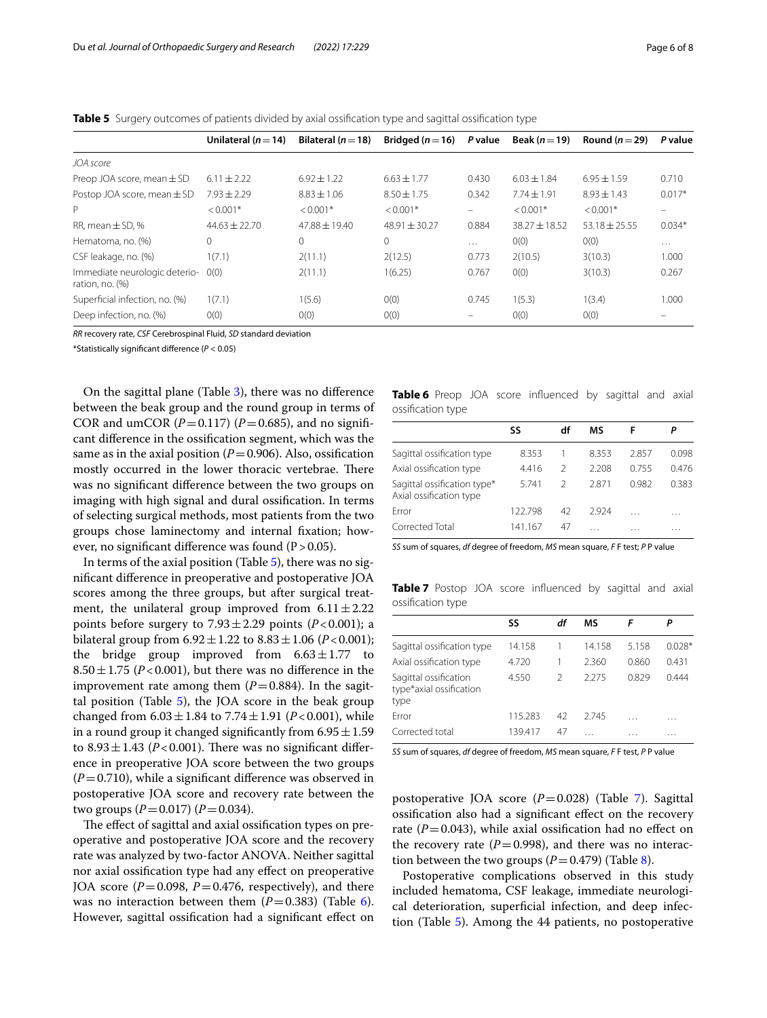| Unilateral ( $n = 14$ ) | Bilateral ( $n = 18$ ) |                 |          |                   |                 |                                                                    |
|-------------------------|------------------------|-----------------|----------|-------------------|-----------------|--------------------------------------------------------------------|
|                         |                        |                 |          |                   |                 |                                                                    |
| $6.11 \pm 2.22$         | $6.92 \pm 1.22$        | $6.63 \pm 1.77$ | 0.430    | $6.03 + 1.84$     | $6.95 + 1.59$   | 0.710                                                              |
| $7.93 + 2.29$           | $8.83 \pm 1.06$        | $8.50 \pm 1.75$ | 0.342    | $7.74 \pm 1.91$   | $8.93 + 1.43$   | $0.017*$                                                           |
| $< 0.001*$              | $< 0.001*$             | $< 0.001*$      | $\equiv$ | $< 0.001*$        | $< 0.001*$      | -                                                                  |
| $44.63 + 22.70$         | $47.88 + 19.40$        | $48.91 + 30.27$ | 0.884    | $38.27 \pm 18.52$ | $53.18 + 25.55$ | $0.034*$                                                           |
|                         |                        |                 |          |                   |                 | Bridged $(n=16)$ P value Beak $(n=19)$<br>Round ( $n=29$ ) P value |

Hematoma, no. (%) 0 0 0 … 0(0) 0(0) … CSF leakage, no. (%) 1(7.1) 2(11.1) 2(12.5) 0.773 2(10.5) 3(10.3) 1.000

Superficial infection, no. (%) 1(7.1) 1(5.6) 0(0) 0.745 1(5.3) 1(3.4) 1.000

Deep infection, no. (%)  $0(0)$   $0(0)$   $0(0)$   $0(0)$   $0(0)$   $0(0)$   $0(0)$   $0(0)$ 

0(0) 2(11.1) 1(6.25) 0.767 0(0) 3(10.3) 0.267

<span id="page-5-0"></span>**Table 5** Surgery outcomes of patients divided by axial ossification type and sagittal ossification type

*RR* recovery rate, *CSF* Cerebrospinal Fluid, *SD* standard deviation

\*Statistically signifcant diference (*P* < 0.05)

Immediate neurologic deterio-

ration, no. (%)

On the sagittal plane (Table [3\)](#page-4-0), there was no diference between the beak group and the round group in terms of COR and umCOR  $(P=0.117)$   $(P=0.685)$ , and no significant diference in the ossifcation segment, which was the same as in the axial position  $(P=0.906)$ . Also, ossification mostly occurred in the lower thoracic vertebrae. There was no signifcant diference between the two groups on imaging with high signal and dural ossifcation. In terms of selecting surgical methods, most patients from the two groups chose laminectomy and internal fxation; however, no significant difference was found  $(P > 0.05)$ .

In terms of the axial position (Table [5](#page-5-0)), there was no signifcant diference in preoperative and postoperative JOA scores among the three groups, but after surgical treatment, the unilateral group improved from  $6.11 \pm 2.22$ points before surgery to  $7.93 \pm 2.29$  points ( $P < 0.001$ ); a bilateral group from  $6.92 \pm 1.22$  to  $8.83 \pm 1.06$  (*P*<0.001); the bridge group improved from  $6.63 \pm 1.77$  to  $8.50 \pm 1.75$  (*P*<0.001), but there was no difference in the improvement rate among them  $(P=0.884)$ . In the sagittal position (Table  $5$ ), the JOA score in the beak group changed from  $6.03 \pm 1.84$  to  $7.74 \pm 1.91$  (*P*<0.001), while in a round group it changed significantly from  $6.95 \pm 1.59$ to  $8.93 \pm 1.43$  ( $P < 0.001$ ). There was no significant difference in preoperative JOA score between the two groups  $(P=0.710)$ , while a significant difference was observed in postoperative JOA score and recovery rate between the two groups (*P*=0.017) (*P*=0.034).

The effect of sagittal and axial ossification types on preoperative and postoperative JOA score and the recovery rate was analyzed by two-factor ANOVA. Neither sagittal nor axial ossifcation type had any efect on preoperative JOA score  $(P=0.098, P=0.476,$  respectively), and there was no interaction between them  $(P=0.383)$  (Table [6](#page-5-1)). However, sagittal ossifcation had a signifcant efect on

<span id="page-5-1"></span>

|                   |  | <b>Table 6</b> Preop JOA score influenced by sagittal and axial |  |  |
|-------------------|--|-----------------------------------------------------------------|--|--|
| ossification type |  |                                                                 |  |  |

| SS      | df            | ΜS    | F        | Р     |
|---------|---------------|-------|----------|-------|
| 8.353   |               | 8.353 | 2857     | 0.098 |
| 4.416   | $\mathcal{P}$ | 2208  | 0.755    | 0476  |
| 5.741   | $\mathcal{P}$ | 2871  | 0.982    | 0.383 |
| 122.798 | 42            | 2924  | $\cdots$ | .     |
| 141.167 | 47            | .     | .        | .     |
|         |               |       |          |       |

*SS* sum of squares, *df* degree of freedom, *MS* mean square, *F* F test; *P* P value

<span id="page-5-2"></span>**Table 7** Postop JOA score influenced by sagittal and axial ossifcation type

|                                                          | SS      | df            | ΜS     |       |          |
|----------------------------------------------------------|---------|---------------|--------|-------|----------|
| Sagittal ossification type                               | 14.158  |               | 14.158 | 5.158 | $0.028*$ |
| Axial ossification type                                  | 4.720   |               | 2.360  | 0.860 | 0.431    |
| Sagittal ossification<br>type*axial ossification<br>type | 4.550   | $\mathcal{P}$ | 2275   | 0.829 | 0.444    |
| Frror                                                    | 115.283 | 42            | 2.745  | .     | .        |
| Corrected total                                          | 139.417 | 47            |        |       | .        |
|                                                          |         |               |        |       |          |

*SS* sum of squares, *df* degree of freedom, *MS* mean square, *F* F test, *P* P value

postoperative JOA score (*P*=0.028) (Table [7\)](#page-5-2). Sagittal ossifcation also had a signifcant efect on the recovery rate  $(P=0.043)$ , while axial ossification had no effect on the recovery rate  $(P=0.998)$ , and there was no interaction between the two groups  $(P=0.479)$  (Table [8\)](#page-6-0).

Postoperative complications observed in this study included hematoma, CSF leakage, immediate neurological deterioration, superficial infection, and deep infection (Table [5](#page-5-0)). Among the 44 patients, no postoperative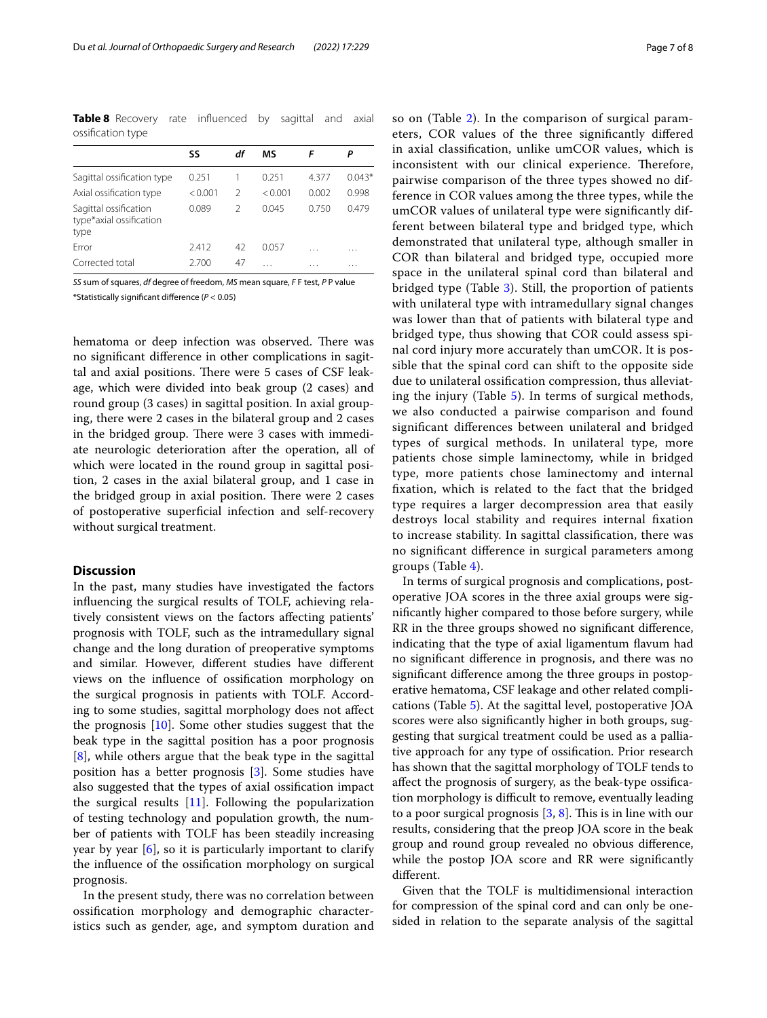<span id="page-6-0"></span>**Table 8** Recovery rate influenced by sagittal and axial ossifcation type

|                                                          | SS      | df | МS      | F     |          |
|----------------------------------------------------------|---------|----|---------|-------|----------|
| Sagittal ossification type                               | 0.251   |    | 0.251   | 4377  | $0.043*$ |
| Axial ossification type                                  | < 0.001 | 2  | < 0.001 | 0.002 | 0.998    |
| Sagittal ossification<br>type*axial ossification<br>type | 0.089   | 2  | 0.045   | 0.750 | 0479     |
| Frror                                                    | 2.412   | 42 | 0057    | .     | .        |
| Corrected total                                          | 2.700   | 47 | .       | .     | .        |

*SS* sum of squares, *df* degree of freedom, *MS* mean square, *F* F test, *P* P value \*Statistically signifcant diference (*P* < 0.05)

hematoma or deep infection was observed. There was no signifcant diference in other complications in sagittal and axial positions. There were 5 cases of CSF leakage, which were divided into beak group (2 cases) and round group (3 cases) in sagittal position. In axial grouping, there were 2 cases in the bilateral group and 2 cases in the bridged group. There were 3 cases with immediate neurologic deterioration after the operation, all of which were located in the round group in sagittal position, 2 cases in the axial bilateral group, and 1 case in the bridged group in axial position. There were 2 cases of postoperative superfcial infection and self-recovery without surgical treatment.

# **Discussion**

In the past, many studies have investigated the factors infuencing the surgical results of TOLF, achieving relatively consistent views on the factors afecting patients' prognosis with TOLF, such as the intramedullary signal change and the long duration of preoperative symptoms and similar. However, diferent studies have diferent views on the infuence of ossifcation morphology on the surgical prognosis in patients with TOLF. According to some studies, sagittal morphology does not afect the prognosis [\[10](#page-7-9)]. Some other studies suggest that the beak type in the sagittal position has a poor prognosis [[8\]](#page-7-7), while others argue that the beak type in the sagittal position has a better prognosis [\[3](#page-7-2)]. Some studies have also suggested that the types of axial ossifcation impact the surgical results [[11\]](#page-7-10). Following the popularization of testing technology and population growth, the number of patients with TOLF has been steadily increasing year by year [[6\]](#page-7-5), so it is particularly important to clarify the infuence of the ossifcation morphology on surgical prognosis.

In the present study, there was no correlation between ossifcation morphology and demographic characteristics such as gender, age, and symptom duration and so on (Table [2](#page-3-1)). In the comparison of surgical parameters, COR values of the three signifcantly difered in axial classifcation, unlike umCOR values, which is inconsistent with our clinical experience. Therefore, pairwise comparison of the three types showed no difference in COR values among the three types, while the umCOR values of unilateral type were signifcantly different between bilateral type and bridged type, which demonstrated that unilateral type, although smaller in COR than bilateral and bridged type, occupied more space in the unilateral spinal cord than bilateral and bridged type (Table [3](#page-4-0)). Still, the proportion of patients with unilateral type with intramedullary signal changes was lower than that of patients with bilateral type and bridged type, thus showing that COR could assess spinal cord injury more accurately than umCOR. It is possible that the spinal cord can shift to the opposite side due to unilateral ossifcation compression, thus alleviating the injury (Table [5\)](#page-5-0). In terms of surgical methods, we also conducted a pairwise comparison and found signifcant diferences between unilateral and bridged types of surgical methods. In unilateral type, more patients chose simple laminectomy, while in bridged type, more patients chose laminectomy and internal fxation, which is related to the fact that the bridged type requires a larger decompression area that easily destroys local stability and requires internal fxation to increase stability. In sagittal classifcation, there was no signifcant diference in surgical parameters among groups (Table [4](#page-4-1)).

In terms of surgical prognosis and complications, postoperative JOA scores in the three axial groups were signifcantly higher compared to those before surgery, while RR in the three groups showed no signifcant diference, indicating that the type of axial ligamentum favum had no signifcant diference in prognosis, and there was no signifcant diference among the three groups in postoperative hematoma, CSF leakage and other related complications (Table [5\)](#page-5-0). At the sagittal level, postoperative JOA scores were also signifcantly higher in both groups, suggesting that surgical treatment could be used as a palliative approach for any type of ossifcation. Prior research has shown that the sagittal morphology of TOLF tends to afect the prognosis of surgery, as the beak-type ossifcation morphology is difficult to remove, eventually leading to a poor surgical prognosis  $[3, 8]$  $[3, 8]$  $[3, 8]$ . This is in line with our results, considering that the preop JOA score in the beak group and round group revealed no obvious diference, while the postop JOA score and RR were signifcantly diferent.

Given that the TOLF is multidimensional interaction for compression of the spinal cord and can only be onesided in relation to the separate analysis of the sagittal